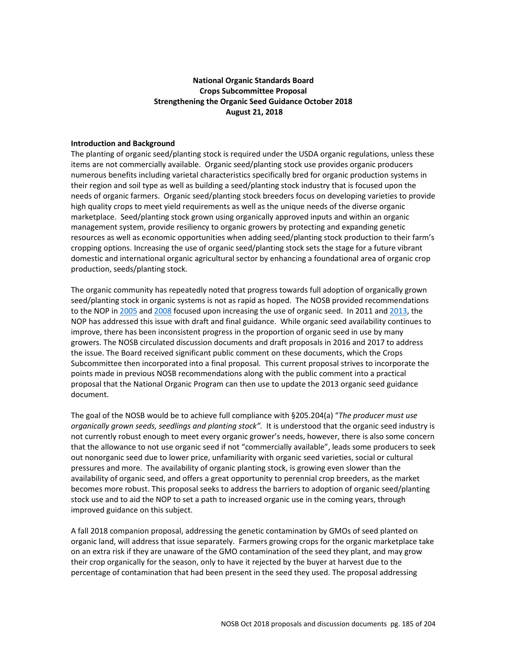# **National Organic Standards Board Crops Subcommittee Proposal Strengthening the Organic Seed Guidance October 2018 August 21, 2018**

#### **Introduction and Background**

The planting of organic seed/planting stock is required under the USDA organic regulations, unless these items are not commercially available. Organic seed/planting stock use provides organic producers numerous benefits including varietal characteristics specifically bred for organic production systems in their region and soil type as well as building a seed/planting stock industry that is focused upon the needs of organic farmers. Organic seed/planting stock breeders focus on developing varieties to provide high quality crops to meet yield requirements as well as the unique needs of the diverse organic marketplace. Seed/planting stock grown using organically approved inputs and within an organic management system, provide resiliency to organic growers by protecting and expanding genetic resources as well as economic opportunities when adding seed/planting stock production to their farm's cropping options. Increasing the use of organic seed/planting stock sets the stage for a future vibrant domestic and international organic agricultural sector by enhancing a foundational area of organic crop production, seeds/planting stock.

The organic community has repeatedly noted that progress towards full adoption of organically grown seed/planting stock in organic systems is not as rapid as hoped. The NOSB provided recommendations to the NOP in 2005 and 2008 focused upon increasing the use of organic seed. In 2011 and 2013, the NOP has addressed this issue with draft and final guidance. While organic seed availability continues to improve, there has been inconsistent progress in the proportion of organic seed in use by many growers. The NOSB circulated discussion documents and draft proposals in 2016 and 2017 to address the issue. The Board received significant public comment on these documents, which the Crops Subcommittee then incorporated into a final proposal. This current proposal strives to incorporate the points made in previous NOSB recommendations along with the public comment into a practical proposal that the National Organic Program can then use to update the 2013 organic seed guidance document.

The goal of the NOSB would be to achieve full compliance with §205.204(a) "*The producer must use organically grown seeds, seedlings and planting stock".* It is understood that the organic seed industry is not currently robust enough to meet every organic grower's needs, however, there is also some concern that the allowance to not use organic seed if not "commercially available", leads some producers to seek out nonorganic seed due to lower price, unfamiliarity with organic seed varieties, social or cultural pressures and more. The availability of organic planting stock, is growing even slower than the availability of organic seed, and offers a great opportunity to perennial crop breeders, as the market becomes more robust. This proposal seeks to address the barriers to adoption of organic seed/planting stock use and to aid the NOP to set a path to increased organic use in the coming years, through improved guidance on this subject.

A fall 2018 companion proposal, addressing the genetic contamination by GMOs of seed planted on organic land, will address that issue separately. Farmers growing crops for the organic marketplace take on an extra risk if they are unaware of the GMO contamination of the seed they plant, and may grow their crop organically for the season, only to have it rejected by the buyer at harvest due to the percentage of contamination that had been present in the seed they used. The proposal addressing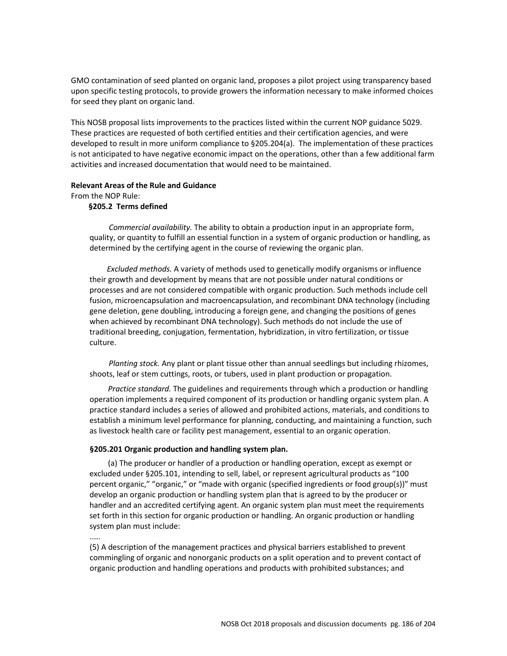GMO contamination of seed planted on organic land, proposes a pilot project using transparency based upon specific testing protocols, to provide growers the information necessary to make informed choices for seed they plant on organic land.

This NOSB proposal lists improvements to the practices listed within the current NOP guidance 5029. These practices are requested of both certified entities and their certification agencies, and were developed to result in more uniform compliance to §205.204(a). The implementation of these practices is not anticipated to have negative economic impact on the operations, other than a few additional farm activities and increased documentation that would need to be maintained.

#### **Relevant Areas of the Rule and Guidance**

From the NOP Rule:

#### **§205.2 Terms defined**

*Commercial availability.* The ability to obtain a production input in an appropriate form, quality, or quantity to fulfill an essential function in a system of organic production or handling, as determined by the certifying agent in the course of reviewing the organic plan.

 *Excluded methods.* A variety of methods used to genetically modify organisms or influence their growth and development by means that are not possible under natural conditions or processes and are not considered compatible with organic production. Such methods include cell fusion, microencapsulation and macroencapsulation, and recombinant DNA technology (including gene deletion, gene doubling, introducing a foreign gene, and changing the positions of genes when achieved by recombinant DNA technology). Such methods do not include the use of traditional breeding, conjugation, fermentation, hybridization, in vitro fertilization, or tissue culture.

 *Planting stock.* Any plant or plant tissue other than annual seedlings but including rhizomes, shoots, leaf or stem cuttings, roots, or tubers, used in plant production or propagation.

*Practice standard.* The guidelines and requirements through which a production or handling operation implements a required component of its production or handling organic system plan. A practice standard includes a series of allowed and prohibited actions, materials, and conditions to establish a minimum level performance for planning, conducting, and maintaining a function, such as livestock health care or facility pest management, essential to an organic operation.

#### **§205.201 Organic production and handling system plan.**

(a) The producer or handler of a production or handling operation, except as exempt or excluded under §205.101, intending to sell, label, or represent agricultural products as "100 percent organic," "organic," or "made with organic (specified ingredients or food group(s))" must develop an organic production or handling system plan that is agreed to by the producer or handler and an accredited certifying agent. An organic system plan must meet the requirements set forth in this section for organic production or handling. An organic production or handling system plan must include:

.....

(5) A description of the management practices and physical barriers established to prevent commingling of organic and nonorganic products on a split operation and to prevent contact of organic production and handling operations and products with prohibited substances; and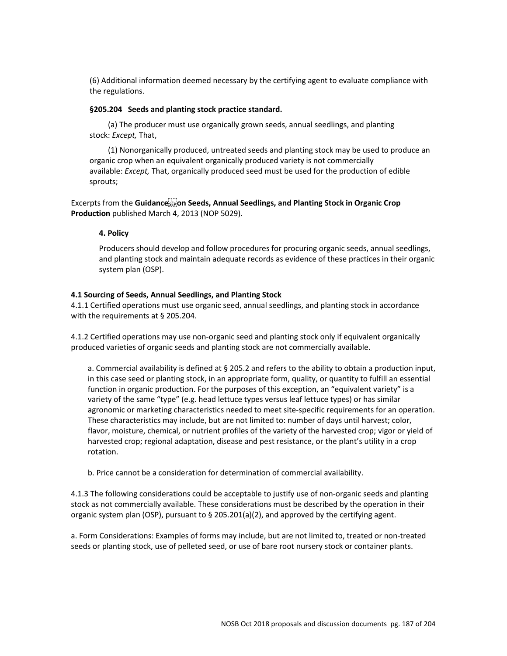(6) Additional information deemed necessary by the certifying agent to evaluate compliance with the regulations.

#### **§205.204 Seeds and planting stock practice standard.**

(a) The producer must use organically grown seeds, annual seedlings, and planting stock: *Except,* That,

(1) Nonorganically produced, untreated seeds and planting stock may be used to produce an organic crop when an equivalent organically produced variety is not commercially available: *Except,* That, organically produced seed must be used for the production of edible sprouts;

Excerpts from the **Guidance on Seeds, Annual Seedlings, and Planting Stock in Organic Crop Production** published March 4, 2013 (NOP 5029).

#### **4. Policy**

Producers should develop and follow procedures for procuring organic seeds, annual seedlings, and planting stock and maintain adequate records as evidence of these practices in their organic system plan (OSP).

#### **4.1 Sourcing of Seeds, Annual Seedlings, and Planting Stock**

4.1.1 Certified operations must use organic seed, annual seedlings, and planting stock in accordance with the requirements at § 205.204.

4.1.2 Certified operations may use non-organic seed and planting stock only if equivalent organically produced varieties of organic seeds and planting stock are not commercially available.

a. Commercial availability is defined at § 205.2 and refers to the ability to obtain a production input, in this case seed or planting stock, in an appropriate form, quality, or quantity to fulfill an essential function in organic production. For the purposes of this exception, an "equivalent variety" is a variety of the same "type" (e.g. head lettuce types versus leaf lettuce types) or has similar agronomic or marketing characteristics needed to meet site-specific requirements for an operation. These characteristics may include, but are not limited to: number of days until harvest; color, flavor, moisture, chemical, or nutrient profiles of the variety of the harvested crop; vigor or yield of harvested crop; regional adaptation, disease and pest resistance, or the plant's utility in a crop rotation.

b. Price cannot be a consideration for determination of commercial availability.

4.1.3 The following considerations could be acceptable to justify use of non-organic seeds and planting stock as not commercially available. These considerations must be described by the operation in their organic system plan (OSP), pursuant to § 205.201(a)(2), and approved by the certifying agent.

a. Form Considerations: Examples of forms may include, but are not limited to, treated or non-treated seeds or planting stock, use of pelleted seed, or use of bare root nursery stock or container plants.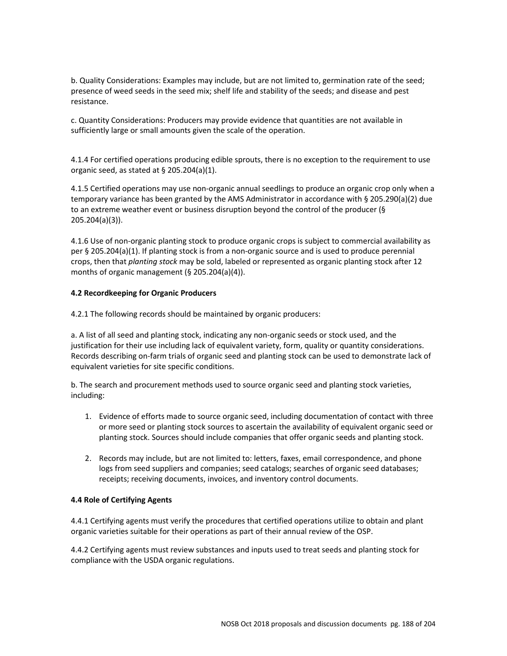b. Quality Considerations: Examples may include, but are not limited to, germination rate of the seed; presence of weed seeds in the seed mix; shelf life and stability of the seeds; and disease and pest resistance.

c. Quantity Considerations: Producers may provide evidence that quantities are not available in sufficiently large or small amounts given the scale of the operation.

4.1.4 For certified operations producing edible sprouts, there is no exception to the requirement to use organic seed, as stated at § 205.204(a)(1).

4.1.5 Certified operations may use non-organic annual seedlings to produce an organic crop only when a temporary variance has been granted by the AMS Administrator in accordance with § 205.290(a)(2) due to an extreme weather event or business disruption beyond the control of the producer (§ 205.204(a)(3)).

4.1.6 Use of non-organic planting stock to produce organic crops is subject to commercial availability as per § 205.204(a)(1). If planting stock is from a non-organic source and is used to produce perennial crops, then that *planting stock* may be sold, labeled or represented as organic planting stock after 12 months of organic management (§ 205.204(a)(4)).

## **4.2 Recordkeeping for Organic Producers**

4.2.1 The following records should be maintained by organic producers:

a. A list of all seed and planting stock, indicating any non-organic seeds or stock used, and the justification for their use including lack of equivalent variety, form, quality or quantity considerations. Records describing on-farm trials of organic seed and planting stock can be used to demonstrate lack of equivalent varieties for site specific conditions.

b. The search and procurement methods used to source organic seed and planting stock varieties, including:

- 1. Evidence of efforts made to source organic seed, including documentation of contact with three or more seed or planting stock sources to ascertain the availability of equivalent organic seed or planting stock. Sources should include companies that offer organic seeds and planting stock.
- 2. Records may include, but are not limited to: letters, faxes, email correspondence, and phone logs from seed suppliers and companies; seed catalogs; searches of organic seed databases; receipts; receiving documents, invoices, and inventory control documents.

#### **4.4 Role of Certifying Agents**

4.4.1 Certifying agents must verify the procedures that certified operations utilize to obtain and plant organic varieties suitable for their operations as part of their annual review of the OSP.

4.4.2 Certifying agents must review substances and inputs used to treat seeds and planting stock for compliance with the USDA organic regulations.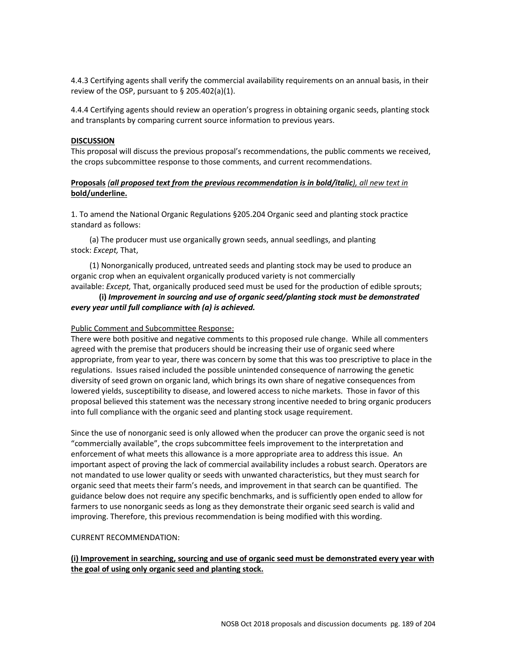4.4.3 Certifying agents shall verify the commercial availability requirements on an annual basis, in their review of the OSP, pursuant to § 205.402(a)(1).

4.4.4 Certifying agents should review an operation's progress in obtaining organic seeds, planting stock and transplants by comparing current source information to previous years.

#### **DISCUSSION**

This proposal will discuss the previous proposal's recommendations, the public comments we received, the crops subcommittee response to those comments, and current recommendations.

## **Proposals** *(all proposed text from the previous recommendation is in bold/italic), all new text in*  **bold/underline.**

1. To amend the National Organic Regulations §205.204 Organic seed and planting stock practice standard as follows:

(a) The producer must use organically grown seeds, annual seedlings, and planting stock: *Except,* That,

(1) Nonorganically produced, untreated seeds and planting stock may be used to produce an organic crop when an equivalent organically produced variety is not commercially

## available: *Except,* That, organically produced seed must be used for the production of edible sprouts; **(i)** *Improvement in sourcing and use of organic seed/planting stock must be demonstrated every year until full compliance with (a) is achieved.*

#### Public Comment and Subcommittee Response:

There were both positive and negative comments to this proposed rule change. While all commenters agreed with the premise that producers should be increasing their use of organic seed where appropriate, from year to year, there was concern by some that this was too prescriptive to place in the regulations. Issues raised included the possible unintended consequence of narrowing the genetic diversity of seed grown on organic land, which brings its own share of negative consequences from lowered yields, susceptibility to disease, and lowered access to niche markets. Those in favor of this proposal believed this statement was the necessary strong incentive needed to bring organic producers into full compliance with the organic seed and planting stock usage requirement.

Since the use of nonorganic seed is only allowed when the producer can prove the organic seed is not "commercially available", the crops subcommittee feels improvement to the interpretation and enforcement of what meets this allowance is a more appropriate area to address this issue. An important aspect of proving the lack of commercial availability includes a robust search. Operators are not mandated to use lower quality or seeds with unwanted characteristics, but they must search for organic seed that meets their farm's needs, and improvement in that search can be quantified. The guidance below does not require any specific benchmarks, and is sufficiently open ended to allow for farmers to use nonorganic seeds as long as they demonstrate their organic seed search is valid and improving. Therefore, this previous recommendation is being modified with this wording.

#### CURRENT RECOMMENDATION:

## **(i) Improvement in searching, sourcing and use of organic seed must be demonstrated every year with the goal of using only organic seed and planting stock.**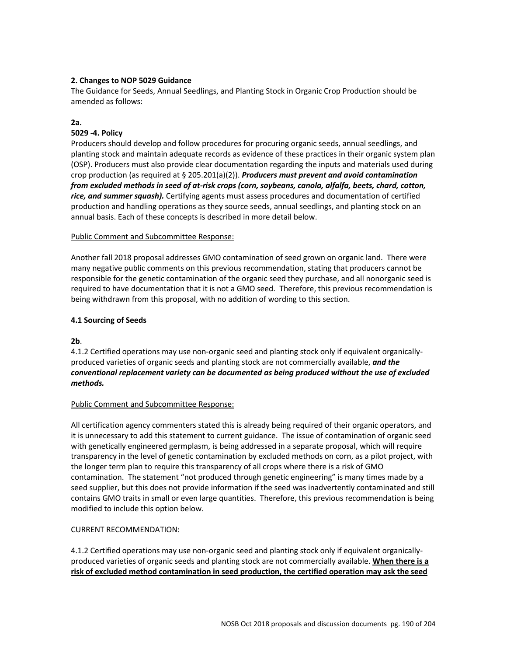## **2. Changes to NOP 5029 Guidance**

The Guidance for Seeds, Annual Seedlings, and Planting Stock in Organic Crop Production should be amended as follows:

# **2a.**

# **5029 -4. Policy**

Producers should develop and follow procedures for procuring organic seeds, annual seedlings, and planting stock and maintain adequate records as evidence of these practices in their organic system plan (OSP). Producers must also provide clear documentation regarding the inputs and materials used during crop production (as required at § 205.201(a)(2)). *Producers must prevent and avoid contamination from excluded methods in seed of at-risk crops (corn, soybeans, canola, alfalfa, beets, chard, cotton, rice, and summer squash).* Certifying agents must assess procedures and documentation of certified production and handling operations as they source seeds, annual seedlings, and planting stock on an annual basis. Each of these concepts is described in more detail below.

#### Public Comment and Subcommittee Response:

Another fall 2018 proposal addresses GMO contamination of seed grown on organic land. There were many negative public comments on this previous recommendation, stating that producers cannot be responsible for the genetic contamination of the organic seed they purchase, and all nonorganic seed is required to have documentation that it is not a GMO seed. Therefore, this previous recommendation is being withdrawn from this proposal, with no addition of wording to this section.

## **4.1 Sourcing of Seeds**

**2b**.

4.1.2 Certified operations may use non-organic seed and planting stock only if equivalent organicallyproduced varieties of organic seeds and planting stock are not commercially available, *and the conventional replacement variety can be documented as being produced without the use of excluded methods.*

## Public Comment and Subcommittee Response:

All certification agency commenters stated this is already being required of their organic operators, and it is unnecessary to add this statement to current guidance. The issue of contamination of organic seed with genetically engineered germplasm, is being addressed in a separate proposal, which will require transparency in the level of genetic contamination by excluded methods on corn, as a pilot project, with the longer term plan to require this transparency of all crops where there is a risk of GMO contamination. The statement "not produced through genetic engineering" is many times made by a seed supplier, but this does not provide information if the seed was inadvertently contaminated and still contains GMO traits in small or even large quantities. Therefore, this previous recommendation is being modified to include this option below.

## CURRENT RECOMMENDATION:

4.1.2 Certified operations may use non-organic seed and planting stock only if equivalent organicallyproduced varieties of organic seeds and planting stock are not commercially available. **When there is a risk of excluded method contamination in seed production, the certified operation may ask the seed**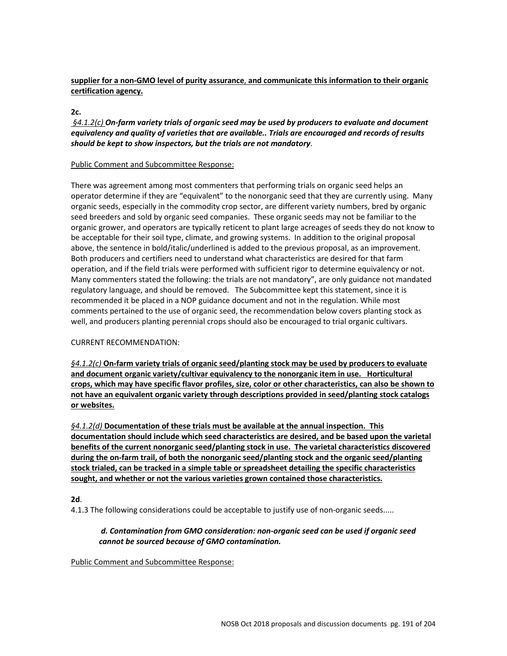# **supplier for a non-GMO level of purity assurance**, **and communicate this information to their organic certification agency.**

## **2c.**

*§4.1.2(c) On-farm variety trials of organic seed may be used by producers to evaluate and document equivalency and quality of varieties that are available.. Trials are encouraged and records of results should be kept to show inspectors, but the trials are not mandatory*.

## Public Comment and Subcommittee Response:

There was agreement among most commenters that performing trials on organic seed helps an operator determine if they are "equivalent" to the nonorganic seed that they are currently using. Many organic seeds, especially in the commodity crop sector, are different variety numbers, bred by organic seed breeders and sold by organic seed companies. These organic seeds may not be familiar to the organic grower, and operators are typically reticent to plant large acreages of seeds they do not know to be acceptable for their soil type, climate, and growing systems. In addition to the original proposal above, the sentence in bold/italic/underlined is added to the previous proposal, as an improvement. Both producers and certifiers need to understand what characteristics are desired for that farm operation, and if the field trials were performed with sufficient rigor to determine equivalency or not. Many commenters stated the following: the trials are not mandatory", are only guidance not mandated regulatory language, and should be removed. The Subcommittee kept this statement, since it is recommended it be placed in a NOP guidance document and not in the regulation. While most comments pertained to the use of organic seed, the recommendation below covers planting stock as well, and producers planting perennial crops should also be encouraged to trial organic cultivars.

# CURRENT RECOMMENDATION:

*§4.1.2(c)* **On-farm variety trials of organic seed/planting stock may be used by producers to evaluate and document organic variety/cultivar equivalency to the nonorganic item in use. Horticultural crops, which may have specific flavor profiles, size, color or other characteristics, can also be shown to not have an equivalent organic variety through descriptions provided in seed/planting stock catalogs or websites.**

*§4.1.2(d)* **Documentation of these trials must be available at the annual inspection. This documentation should include which seed characteristics are desired, and be based upon the varietal benefits of the current nonorganic seed/planting stock in use. The varietal characteristics discovered during the on-farm trail, of both the nonorganic seed/planting stock and the organic seed/planting stock trialed, can be tracked in a simple table or spreadsheet detailing the specific characteristics sought, and whether or not the various varieties grown contained those characteristics.**

# **2d**.

4.1.3 The following considerations could be acceptable to justify use of non-organic seeds.....

# *d. Contamination from GMO consideration: non-organic seed can be used if organic seed cannot be sourced because of GMO contamination.*

Public Comment and Subcommittee Response: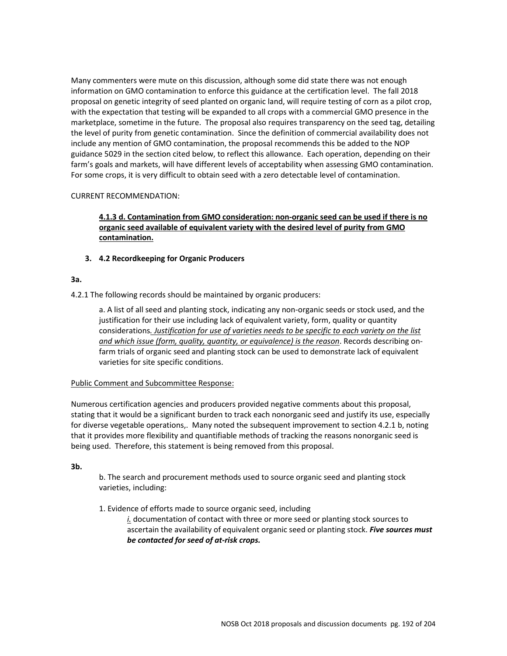Many commenters were mute on this discussion, although some did state there was not enough information on GMO contamination to enforce this guidance at the certification level. The fall 2018 proposal on genetic integrity of seed planted on organic land, will require testing of corn as a pilot crop, with the expectation that testing will be expanded to all crops with a commercial GMO presence in the marketplace, sometime in the future. The proposal also requires transparency on the seed tag, detailing the level of purity from genetic contamination. Since the definition of commercial availability does not include any mention of GMO contamination, the proposal recommends this be added to the NOP guidance 5029 in the section cited below, to reflect this allowance. Each operation, depending on their farm's goals and markets, will have different levels of acceptability when assessing GMO contamination. For some crops, it is very difficult to obtain seed with a zero detectable level of contamination.

## CURRENT RECOMMENDATION:

# **4.1.3 d. Contamination from GMO consideration: non-organic seed can be used if there is no organic seed available of equivalent variety with the desired level of purity from GMO contamination.**

## **3. 4.2 Recordkeeping for Organic Producers**

## **3a.**

4.2.1 The following records should be maintained by organic producers:

a. A list of all seed and planting stock, indicating any non-organic seeds or stock used, and the justification for their use including lack of equivalent variety, form, quality or quantity considerations*. Justification for use of varieties needs to be specific to each variety on the list and which issue (form, quality, quantity, or equivalence) is the reason*. Records describing onfarm trials of organic seed and planting stock can be used to demonstrate lack of equivalent varieties for site specific conditions.

## Public Comment and Subcommittee Response:

Numerous certification agencies and producers provided negative comments about this proposal, stating that it would be a significant burden to track each nonorganic seed and justify its use, especially for diverse vegetable operations,. Many noted the subsequent improvement to section 4.2.1 b, noting that it provides more flexibility and quantifiable methods of tracking the reasons nonorganic seed is being used. Therefore, this statement is being removed from this proposal.

## **3b.**

b. The search and procurement methods used to source organic seed and planting stock varieties, including:

1. Evidence of efforts made to source organic seed, including

*i.* documentation of contact with three or more seed or planting stock sources to ascertain the availability of equivalent organic seed or planting stock. *Five sources must be contacted for seed of at-risk crops.*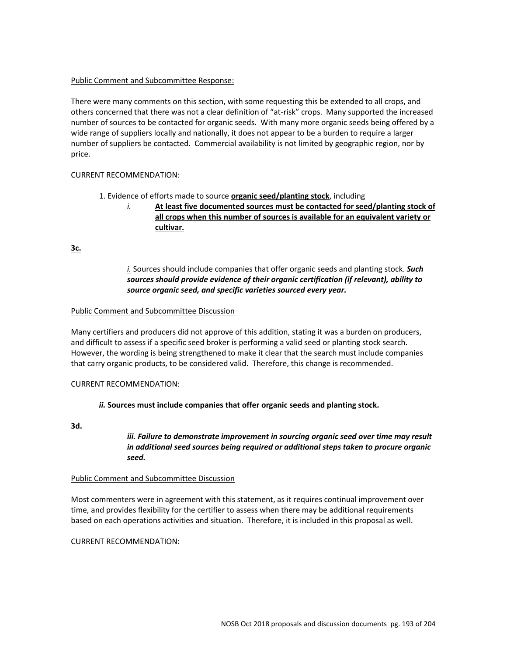## Public Comment and Subcommittee Response:

There were many comments on this section, with some requesting this be extended to all crops, and others concerned that there was not a clear definition of "at-risk" crops. Many supported the increased number of sources to be contacted for organic seeds. With many more organic seeds being offered by a wide range of suppliers locally and nationally, it does not appear to be a burden to require a larger number of suppliers be contacted. Commercial availability is not limited by geographic region, nor by price.

## CURRENT RECOMMENDATION:

## 1. Evidence of efforts made to source **organic seed/planting stock**, including

*i.* **At least five documented sources must be contacted for seed/planting stock of all crops when this number of sources is available for an equivalent variety or cultivar.**

**3c.** 

# *i.* Sources should include companies that offer organic seeds and planting stock. *Such sources should provide evidence of their organic certification (if relevant), ability to source organic seed, and specific varieties sourced every year.*

## Public Comment and Subcommittee Discussion

Many certifiers and producers did not approve of this addition, stating it was a burden on producers, and difficult to assess if a specific seed broker is performing a valid seed or planting stock search. However, the wording is being strengthened to make it clear that the search must include companies that carry organic products, to be considered valid. Therefore, this change is recommended.

## CURRENT RECOMMENDATION:

# *ii.* **Sources must include companies that offer organic seeds and planting stock.**

**3d.**

*iii. Failure to demonstrate improvement in sourcing organic seed over time may result in additional seed sources being required or additional steps taken to procure organic seed.*

## Public Comment and Subcommittee Discussion

Most commenters were in agreement with this statement, as it requires continual improvement over time, and provides flexibility for the certifier to assess when there may be additional requirements based on each operations activities and situation. Therefore, it is included in this proposal as well.

CURRENT RECOMMENDATION: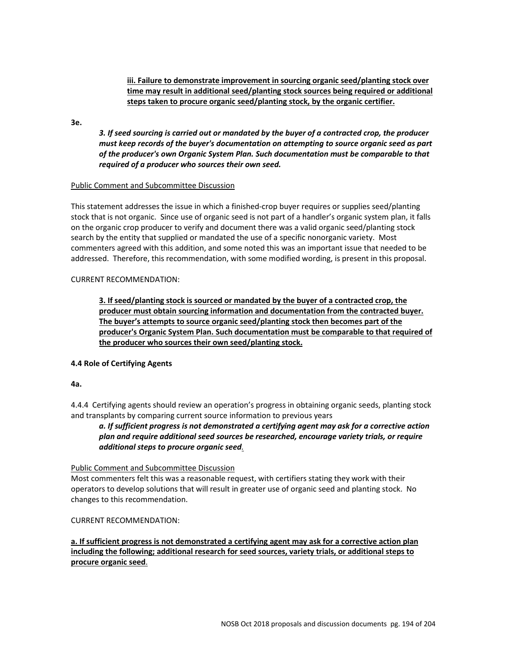**iii. Failure to demonstrate improvement in sourcing organic seed/planting stock over time may result in additional seed/planting stock sources being required or additional steps taken to procure organic seed/planting stock, by the organic certifier.**

**3e.** 

*3. If seed sourcing is carried out or mandated by the buyer of a contracted crop, the producer must keep records of the buyer's documentation on attempting to source organic seed as part of the producer's own Organic System Plan. Such documentation must be comparable to that required of a producer who sources their own seed.*

#### Public Comment and Subcommittee Discussion

This statement addresses the issue in which a finished-crop buyer requires or supplies seed/planting stock that is not organic. Since use of organic seed is not part of a handler's organic system plan, it falls on the organic crop producer to verify and document there was a valid organic seed/planting stock search by the entity that supplied or mandated the use of a specific nonorganic variety. Most commenters agreed with this addition, and some noted this was an important issue that needed to be addressed. Therefore, this recommendation, with some modified wording, is present in this proposal.

## CURRENT RECOMMENDATION:

**3. If seed/planting stock is sourced or mandated by the buyer of a contracted crop, the producer must obtain sourcing information and documentation from the contracted buyer. The buyer's attempts to source organic seed/planting stock then becomes part of the producer's Organic System Plan. Such documentation must be comparable to that required of the producer who sources their own seed/planting stock.**

## **4.4 Role of Certifying Agents**

**4a.** 

4.4.4 Certifying agents should review an operation's progress in obtaining organic seeds, planting stock and transplants by comparing current source information to previous years

*a. If sufficient progress is not demonstrated a certifying agent may ask for a corrective action plan and require additional seed sources be researched, encourage variety trials, or require additional steps to procure organic seed.* 

## Public Comment and Subcommittee Discussion

Most commenters felt this was a reasonable request, with certifiers stating they work with their operators to develop solutions that will result in greater use of organic seed and planting stock. No changes to this recommendation.

CURRENT RECOMMENDATION:

**a. If sufficient progress is not demonstrated a certifying agent may ask for a corrective action plan including the following; additional research for seed sources, variety trials, or additional steps to procure organic seed**.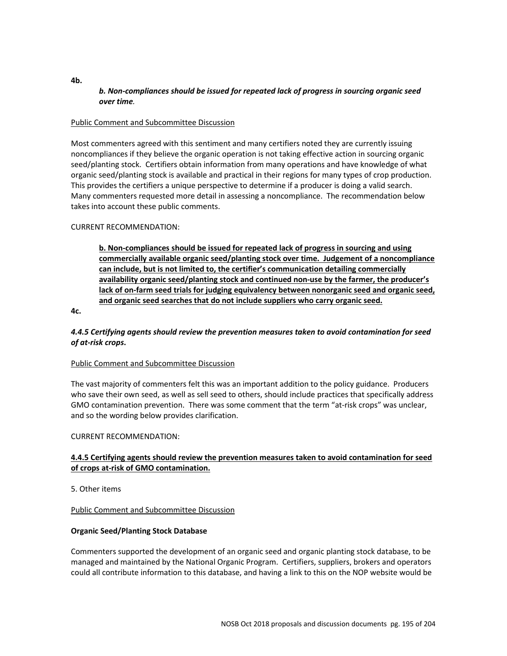# *b. Non-compliances should be issued for repeated lack of progress in sourcing organic seed over time.*

#### Public Comment and Subcommittee Discussion

Most commenters agreed with this sentiment and many certifiers noted they are currently issuing noncompliances if they believe the organic operation is not taking effective action in sourcing organic seed/planting stock. Certifiers obtain information from many operations and have knowledge of what organic seed/planting stock is available and practical in their regions for many types of crop production. This provides the certifiers a unique perspective to determine if a producer is doing a valid search. Many commenters requested more detail in assessing a noncompliance. The recommendation below takes into account these public comments.

## CURRENT RECOMMENDATION:

**b. Non-compliances should be issued for repeated lack of progress in sourcing and using commercially available organic seed/planting stock over time. Judgement of a noncompliance can include, but is not limited to, the certifier's communication detailing commercially availability organic seed/planting stock and continued non-use by the farmer, the producer's lack of on-farm seed trials for judging equivalency between nonorganic seed and organic seed, and organic seed searches that do not include suppliers who carry organic seed.**

**4c.** 

## *4.4.5 Certifying agents should review the prevention measures taken to avoid contamination for seed of at-risk crops***.**

#### Public Comment and Subcommittee Discussion

The vast majority of commenters felt this was an important addition to the policy guidance. Producers who save their own seed, as well as sell seed to others, should include practices that specifically address GMO contamination prevention. There was some comment that the term "at-risk crops" was unclear, and so the wording below provides clarification.

## CURRENT RECOMMENDATION:

## **4.4.5 Certifying agents should review the prevention measures taken to avoid contamination for seed of crops at-risk of GMO contamination.**

5. Other items

## Public Comment and Subcommittee Discussion

## **Organic Seed/Planting Stock Database**

Commenters supported the development of an organic seed and organic planting stock database, to be managed and maintained by the National Organic Program. Certifiers, suppliers, brokers and operators could all contribute information to this database, and having a link to this on the NOP website would be

**4b.**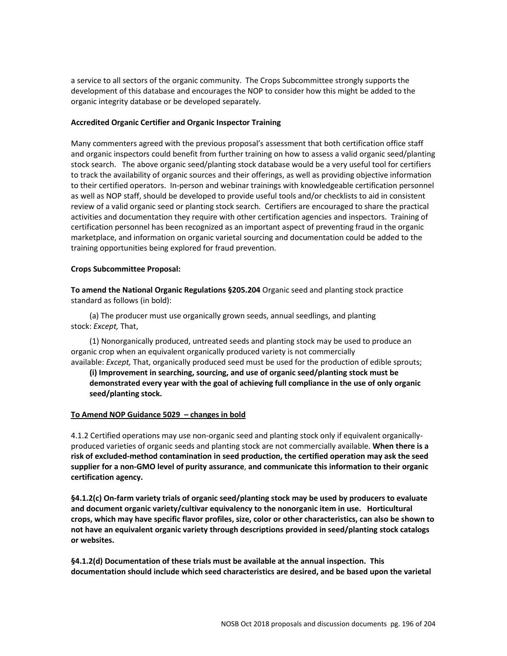a service to all sectors of the organic community. The Crops Subcommittee strongly supports the development of this database and encourages the NOP to consider how this might be added to the organic integrity database or be developed separately.

#### **Accredited Organic Certifier and Organic Inspector Training**

Many commenters agreed with the previous proposal's assessment that both certification office staff and organic inspectors could benefit from further training on how to assess a valid organic seed/planting stock search. The above organic seed/planting stock database would be a very useful tool for certifiers to track the availability of organic sources and their offerings, as well as providing objective information to their certified operators. In-person and webinar trainings with knowledgeable certification personnel as well as NOP staff, should be developed to provide useful tools and/or checklists to aid in consistent review of a valid organic seed or planting stock search. Certifiers are encouraged to share the practical activities and documentation they require with other certification agencies and inspectors. Training of certification personnel has been recognized as an important aspect of preventing fraud in the organic marketplace, and information on organic varietal sourcing and documentation could be added to the training opportunities being explored for fraud prevention.

#### **Crops Subcommittee Proposal:**

**To amend the National Organic Regulations §205.204** Organic seed and planting stock practice standard as follows (in bold):

(a) The producer must use organically grown seeds, annual seedlings, and planting stock: *Except,* That,

(1) Nonorganically produced, untreated seeds and planting stock may be used to produce an organic crop when an equivalent organically produced variety is not commercially available: *Except,* That, organically produced seed must be used for the production of edible sprouts;

**(i) Improvement in searching, sourcing, and use of organic seed/planting stock must be demonstrated every year with the goal of achieving full compliance in the use of only organic seed/planting stock.** 

## **To Amend NOP Guidance 5029 – changes in bold**

4.1.2 Certified operations may use non-organic seed and planting stock only if equivalent organicallyproduced varieties of organic seeds and planting stock are not commercially available. **When there is a risk of excluded-method contamination in seed production, the certified operation may ask the seed supplier for a non-GMO level of purity assurance**, **and communicate this information to their organic certification agency.**

**§4.1.2(c) On-farm variety trials of organic seed/planting stock may be used by producers to evaluate and document organic variety/cultivar equivalency to the nonorganic item in use. Horticultural crops, which may have specific flavor profiles, size, color or other characteristics, can also be shown to not have an equivalent organic variety through descriptions provided in seed/planting stock catalogs or websites.**

**§4.1.2(d) Documentation of these trials must be available at the annual inspection. This documentation should include which seed characteristics are desired, and be based upon the varietal**